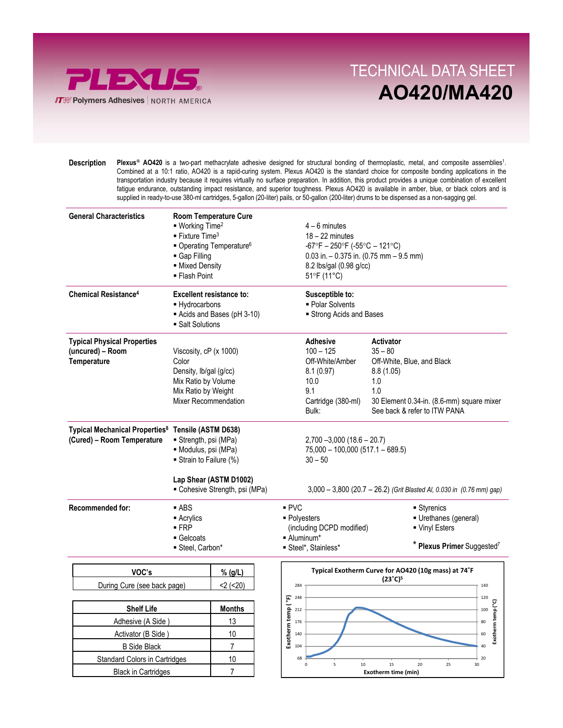

Black in Cartridges 1997

## OILUO AL DATA CULT TECHNICAL DATA SHEET AO420/MA420

 $\frac{15}{20}$   $\frac{20}{25}$   $\frac{30}{30}$ <br>Exotherm time (min)

0 5 10 15 20 25 30

Plexus<sup>®</sup> AO420 is a two-part methacrylate adhesive designed for structural bonding of thermoplastic, metal, and composite assemblies<sup>1</sup>. Combined at a 10:1 ratio, AO420 is a rapid-curing system. Plexus AO420 is the standard choice for composite bonding applications in the transportation industry because it requires virtually no surface preparation. In addition, this product provides a unique combination of excellent fatigue endurance, outstanding impact resistance, and superior toughness. Plexus AO420 is available in amber, blue, or black colors and is supplied in ready-to-use 380-ml cartridges, 5-gallon (20-liter) pails, or 50-gallon (200-liter) drums to be dispensed as a non-sagging gel. Description

| <b>General Characteristics</b>                                                               | <b>Room Temperature Cure</b><br>• Working Time <sup>2</sup><br>$\blacksquare$ Fixture Time <sup>3</sup><br>• Operating Temperature <sup>6</sup><br>Gap Filling<br>- Mixed Density<br>■ Flash Point |                                |                                                             | $4 - 6$ minutes<br>$18 - 22$ minutes<br>$-67^{\circ}F - 250^{\circ}F (-55^{\circ}C - 121^{\circ}C)$<br>$0.03$ in. $-0.375$ in. (0.75 mm $-9.5$ mm)<br>8.2 lbs/gal (0.98 g/cc)<br>51°F (11°C) |                                                                                                                                                                     |  |
|----------------------------------------------------------------------------------------------|----------------------------------------------------------------------------------------------------------------------------------------------------------------------------------------------------|--------------------------------|-------------------------------------------------------------|----------------------------------------------------------------------------------------------------------------------------------------------------------------------------------------------|---------------------------------------------------------------------------------------------------------------------------------------------------------------------|--|
| <b>Chemical Resistance<sup>4</sup></b>                                                       | <b>Excellent resistance to:</b><br>- Hydrocarbons<br>• Salt Solutions                                                                                                                              | Acids and Bases (pH 3-10)      |                                                             | Susceptible to:<br>• Polar Solvents<br>Strong Acids and Bases                                                                                                                                |                                                                                                                                                                     |  |
| <b>Typical Physical Properties</b><br>(uncured) - Room<br>Temperature                        | Viscosity, cP (x 1000)<br>Color<br>Density, lb/gal (g/cc)<br>Mix Ratio by Volume<br>Mix Ratio by Weight<br>Mixer Recommendation                                                                    |                                |                                                             | <b>Adhesive</b><br>$100 - 125$<br>Off-White/Amber<br>8.1(0.97)<br>10.0<br>9.1<br>Cartridge (380-ml)<br>Bulk:                                                                                 | <b>Activator</b><br>$35 - 80$<br>Off-White, Blue, and Black<br>8.8(1.05)<br>1.0<br>1.0<br>30 Element 0.34-in. (8.6-mm) square mixer<br>See back & refer to ITW PANA |  |
| Typical Mechanical Properties <sup>8</sup> Tensile (ASTM D638)<br>(Cured) - Room Temperature | Strength, psi (MPa)<br>· Modulus, psi (MPa)<br>Strain to Failure (%)<br>Lap Shear (ASTM D1002)<br>• Cohesive Strength, psi (MPa)                                                                   |                                |                                                             | $2,700 - 3,000$ (18.6 - 20.7)<br>$75,000 - 100,000$ (517.1 - 689.5)<br>$30 - 50$<br>3,000 - 3,800 (20.7 - 26.2) (Grit Blasted Al, 0.030 in (0.76 mm) gap)                                    |                                                                                                                                                                     |  |
| <b>Recommended for:</b>                                                                      | $-$ ABS<br>■ Acrylics<br>$-FRP$<br>Gelcoats<br>■ Steel, Carbon*                                                                                                                                    |                                | PVC                                                         | • Polyesters<br>(including DCPD modified)<br>• Aluminum*<br>Steel*, Stainless*                                                                                                               | ■ Styrenics<br>Urethanes (general)<br>Vinyl Esters<br>* Plexus Primer Suggested <sup>7</sup>                                                                        |  |
| VOC's<br>During Cure (see back page)                                                         |                                                                                                                                                                                                    | % (g/L)<br>$2$ ( $20$ )        |                                                             | Typical Exotherm Curve for AO420 (10g mass) at 74°F<br>(23°C) <sup>5</sup><br>284<br>140                                                                                                     |                                                                                                                                                                     |  |
| <b>Shelf Life</b><br>Adhesive (A Side)<br>Activator (B Side)<br><b>B</b> Side Black          |                                                                                                                                                                                                    | <b>Months</b><br>13<br>10<br>7 | 248<br>Exotherm temp (°F)<br>212<br>176<br>140<br>104<br>68 |                                                                                                                                                                                              | 120<br>Exotherm temp (°C)<br>100<br>80<br>60<br>40<br>20                                                                                                            |  |
| <b>Standard Colors in Cartridges</b>                                                         |                                                                                                                                                                                                    | 10                             |                                                             |                                                                                                                                                                                              |                                                                                                                                                                     |  |